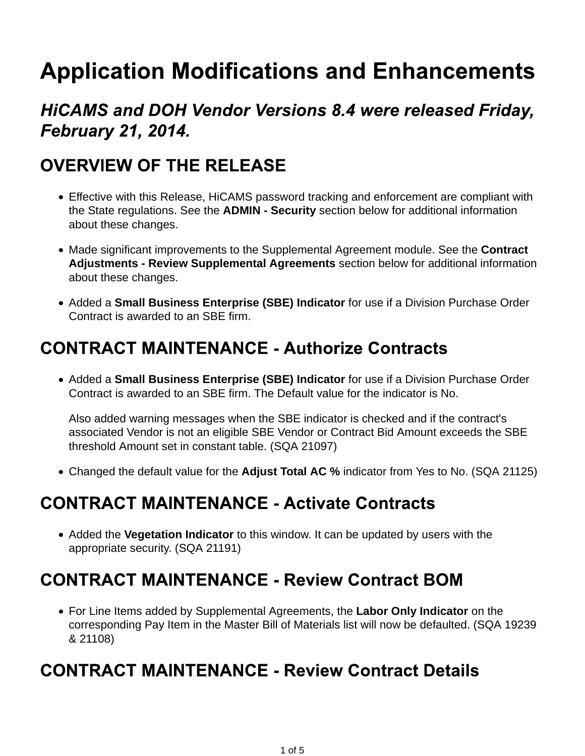# **Application Modifications and Enhancements**

## **HICAMS and DOH Vendor Versions 8.4 were released Friday, February 21, 2014.**

## **OVERVIEW OF THE RELEASE**

- Effective with this Release, HiCAMS password tracking and enforcement are compliant with the State regulations. See the **ADMIN - Security** section below for additional information about these changes.
- Made significant improvements to the Supplemental Agreement module. See the **Contract Adjustments - Review Supplemental Agreements** section below for additional information about these changes.
- Added a **Small Business Enterprise (SBE) Indicator** for use if a Division Purchase Order Contract is awarded to an SBE firm.

#### **CONTRACT MAINTENANCE - Authorize Contracts**

Added a **Small Business Enterprise (SBE) Indicator** for use if a Division Purchase Order Contract is awarded to an SBE firm. The Default value for the indicator is No.

Also added warning messages when the SBE indicator is checked and if the contract's associated Vendor is not an eligible SBE Vendor or Contract Bid Amount exceeds the SBE threshold Amount set in constant table. (SQA 21097)

Changed the default value for the **Adjust Total AC %** indicator from Yes to No. (SQA 21125)

## **CONTRACT MAINTENANCE - Activate Contracts**

Added the **Vegetation Indicator** to this window. It can be updated by users with the appropriate security. (SQA 21191)

## **CONTRACT MAINTENANCE - Review Contract BOM**

For Line Items added by Supplemental Agreements, the **Labor Only Indicator** on the corresponding Pay Item in the Master Bill of Materials list will now be defaulted. (SQA 19239 & 21108)

#### **CONTRACT MAINTENANCE - Review Contract Details**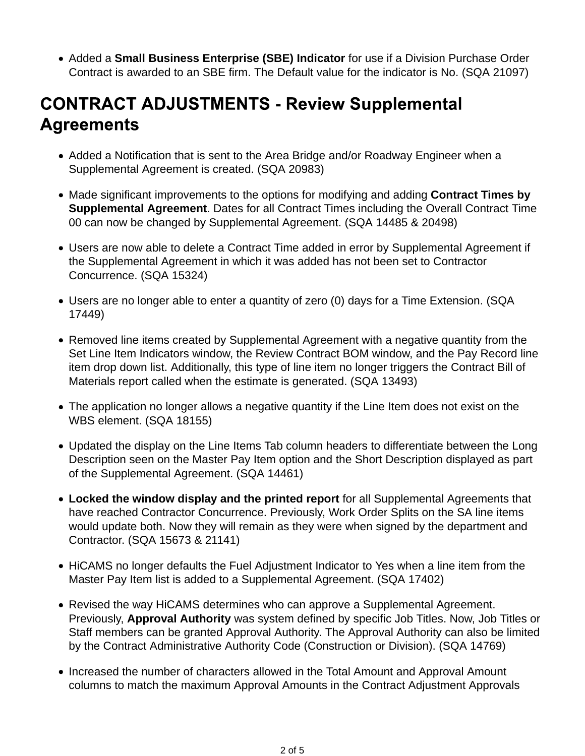Added a **Small Business Enterprise (SBE) Indicator** for use if a Division Purchase Order Contract is awarded to an SBE firm. The Default value for the indicator is No. (SQA 21097)

# **CONTRACT ADJUSTMENTS - Review Supplemental Agreements**

- Added a Notification that is sent to the Area Bridge and/or Roadway Engineer when a Supplemental Agreement is created. (SQA 20983)
- Made significant improvements to the options for modifying and adding **Contract Times by Supplemental Agreement**. Dates for all Contract Times including the Overall Contract Time 00 can now be changed by Supplemental Agreement. (SQA 14485 & 20498)
- Users are now able to delete a Contract Time added in error by Supplemental Agreement if the Supplemental Agreement in which it was added has not been set to Contractor Concurrence. (SQA 15324)
- Users are no longer able to enter a quantity of zero (0) days for a Time Extension. (SQA 17449)
- Removed line items created by Supplemental Agreement with a negative quantity from the Set Line Item Indicators window, the Review Contract BOM window, and the Pay Record line item drop down list. Additionally, this type of line item no longer triggers the Contract Bill of Materials report called when the estimate is generated. (SQA 13493)
- The application no longer allows a negative quantity if the Line Item does not exist on the WBS element. (SQA 18155)
- Updated the display on the Line Items Tab column headers to differentiate between the Long Description seen on the Master Pay Item option and the Short Description displayed as part of the Supplemental Agreement. (SQA 14461)
- **Locked the window display and the printed report** for all Supplemental Agreements that have reached Contractor Concurrence. Previously, Work Order Splits on the SA line items would update both. Now they will remain as they were when signed by the department and Contractor. (SQA 15673 & 21141)
- HiCAMS no longer defaults the Fuel Adjustment Indicator to Yes when a line item from the Master Pay Item list is added to a Supplemental Agreement. (SQA 17402)
- Revised the way HiCAMS determines who can approve a Supplemental Agreement. Previously, **Approval Authority** was system defined by specific Job Titles. Now, Job Titles or Staff members can be granted Approval Authority. The Approval Authority can also be limited by the Contract Administrative Authority Code (Construction or Division). (SQA 14769)
- Increased the number of characters allowed in the Total Amount and Approval Amount columns to match the maximum Approval Amounts in the Contract Adjustment Approvals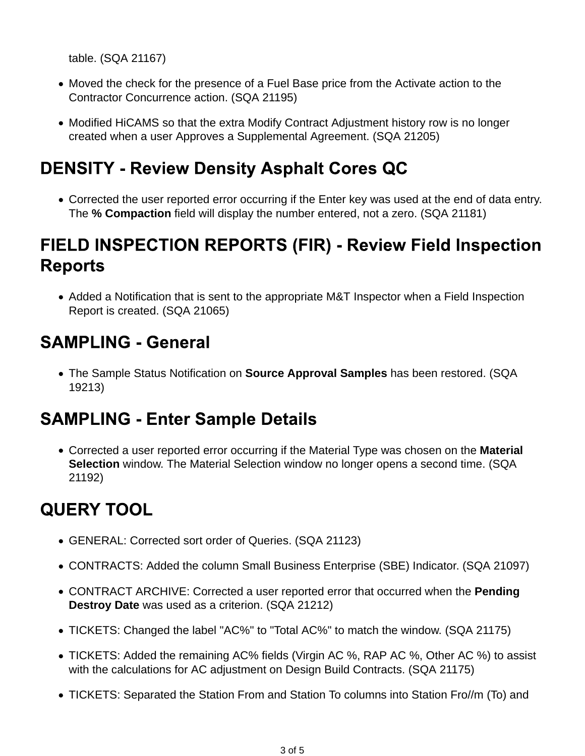table. (SQA 21167)

- Moved the check for the presence of a Fuel Base price from the Activate action to the Contractor Concurrence action. (SQA 21195)
- Modified HiCAMS so that the extra Modify Contract Adjustment history row is no longer created when a user Approves a Supplemental Agreement. (SQA 21205)

## **DENSITY - Review Density Asphalt Cores QC**

Corrected the user reported error occurring if the Enter key was used at the end of data entry. The **% Compaction** field will display the number entered, not a zero. (SQA 21181)

## FIELD INSPECTION REPORTS (FIR) - Review Field Inspection **Reports**

Added a Notification that is sent to the appropriate M&T Inspector when a Field Inspection Report is created. (SQA 21065)

## **SAMPLING - General**

The Sample Status Notification on **Source Approval Samples** has been restored. (SQA 19213)

#### **SAMPLING - Enter Sample Details**

Corrected a user reported error occurring if the Material Type was chosen on the **Material Selection** window. The Material Selection window no longer opens a second time. (SQA 21192)

# **QUERY TOOL**

- GENERAL: Corrected sort order of Queries. (SQA 21123)
- CONTRACTS: Added the column Small Business Enterprise (SBE) Indicator. (SQA 21097)
- CONTRACT ARCHIVE: Corrected a user reported error that occurred when the **Pending Destroy Date** was used as a criterion. (SQA 21212)
- TICKETS: Changed the label "AC%" to "Total AC%" to match the window. (SQA 21175)
- TICKETS: Added the remaining AC% fields (Virgin AC %, RAP AC %, Other AC %) to assist with the calculations for AC adjustment on Design Build Contracts. (SQA 21175)
- TICKETS: Separated the Station From and Station To columns into Station Fro//m (To) and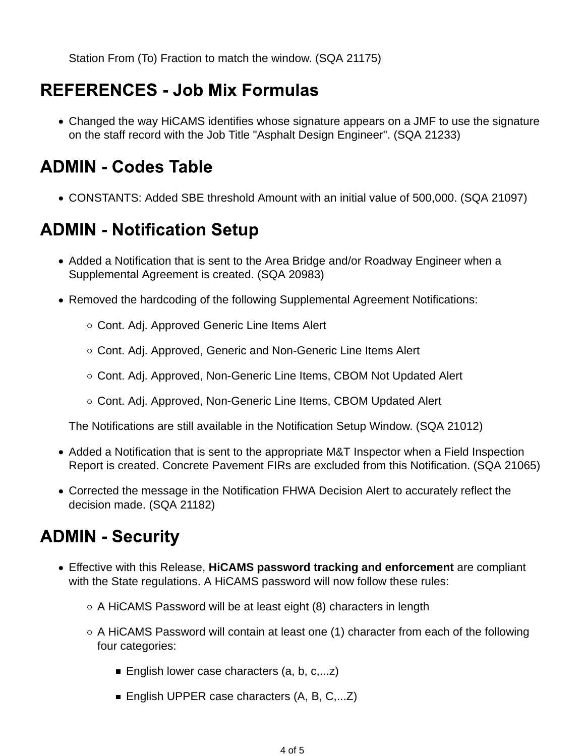Station From (To) Fraction to match the window. (SQA 21175)

### **REFERENCES - Job Mix Formulas**

Changed the way HiCAMS identifies whose signature appears on a JMF to use the signature on the staff record with the Job Title "Asphalt Design Engineer". (SQA 21233)

#### **ADMIN - Codes Table**

CONSTANTS: Added SBE threshold Amount with an initial value of 500,000. (SQA 21097)

#### **ADMIN - Notification Setup**

- Added a Notification that is sent to the Area Bridge and/or Roadway Engineer when a Supplemental Agreement is created. (SQA 20983)
- Removed the hardcoding of the following Supplemental Agreement Notifications:
	- Cont. Adj. Approved Generic Line Items Alert
	- Cont. Adj. Approved, Generic and Non-Generic Line Items Alert
	- Cont. Adj. Approved, Non-Generic Line Items, CBOM Not Updated Alert
	- Cont. Adj. Approved, Non-Generic Line Items, CBOM Updated Alert

The Notifications are still available in the Notification Setup Window. (SQA 21012)

- Added a Notification that is sent to the appropriate M&T Inspector when a Field Inspection Report is created. Concrete Pavement FIRs are excluded from this Notification. (SQA 21065)
- Corrected the message in the Notification FHWA Decision Alert to accurately reflect the decision made. (SQA 21182)

#### **ADMIN - Security**

- Effective with this Release, **HiCAMS password tracking and enforcement** are compliant with the State regulations. A HiCAMS password will now follow these rules:
	- $\circ$  A HiCAMS Password will be at least eight (8) characters in length
	- $\circ$  A HiCAMS Password will contain at least one (1) character from each of the following four categories:
		- English lower case characters  $(a, b, c, \ldots z)$
		- English UPPER case characters  $(A, B, C, \ldots Z)$